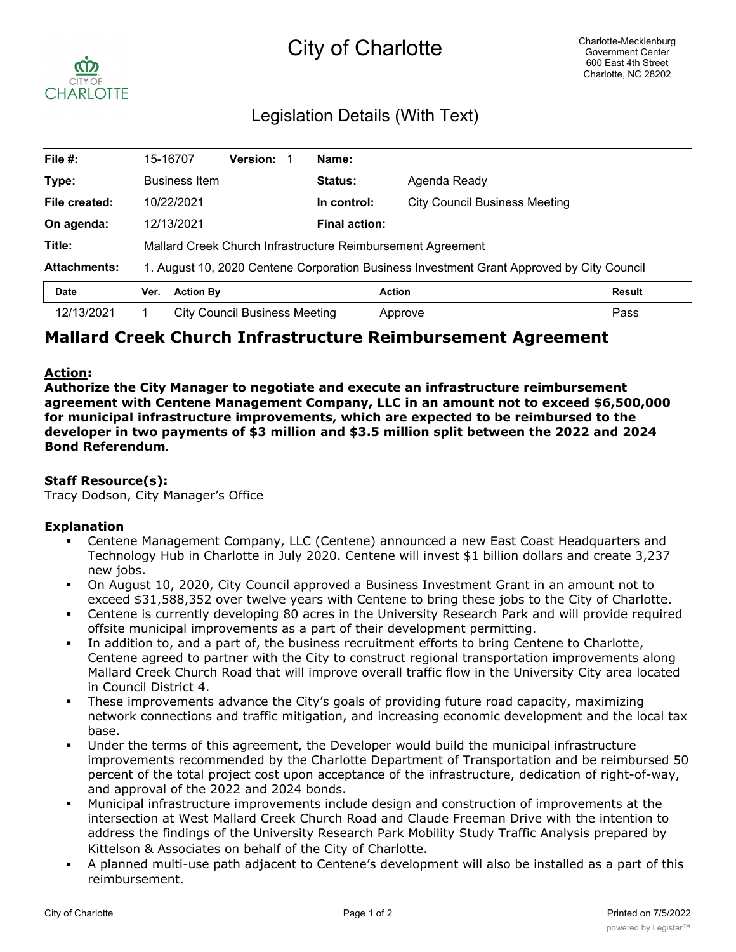# City of Charlotte



# Legislation Details (With Text)

| File #:             | 15-16707                                                                                  |                      | <b>Version:</b>               |  | Name:                |                                      |  |
|---------------------|-------------------------------------------------------------------------------------------|----------------------|-------------------------------|--|----------------------|--------------------------------------|--|
| Type:               |                                                                                           | <b>Business Item</b> |                               |  | <b>Status:</b>       | Agenda Ready                         |  |
| File created:       | 10/22/2021                                                                                |                      |                               |  | In control:          | <b>City Council Business Meeting</b> |  |
| On agenda:          | 12/13/2021                                                                                |                      |                               |  | <b>Final action:</b> |                                      |  |
| Title:              | Mallard Creek Church Infrastructure Reimbursement Agreement                               |                      |                               |  |                      |                                      |  |
| <b>Attachments:</b> | 1. August 10, 2020 Centene Corporation Business Investment Grant Approved by City Council |                      |                               |  |                      |                                      |  |
| <b>Date</b>         | Ver.                                                                                      | <b>Action By</b>     |                               |  |                      | <b>Action</b><br><b>Result</b>       |  |
| 12/13/2021          |                                                                                           |                      | City Council Business Meeting |  |                      | Pass<br>Approve                      |  |

# **Mallard Creek Church Infrastructure Reimbursement Agreement**

### **Action:**

**Authorize the City Manager to negotiate and execute an infrastructure reimbursement agreement with Centene Management Company, LLC in an amount not to exceed \$6,500,000 for municipal infrastructure improvements, which are expected to be reimbursed to the developer in two payments of \$3 million and \$3.5 million split between the 2022 and 2024 Bond Referendum.**

## **Staff Resource(s):**

Tracy Dodson, City Manager's Office

#### **Explanation**

- § Centene Management Company, LLC (Centene) announced a new East Coast Headquarters and Technology Hub in Charlotte in July 2020. Centene will invest \$1 billion dollars and create 3,237 new jobs.
- § On August 10, 2020, City Council approved a Business Investment Grant in an amount not to exceed \$31,588,352 over twelve years with Centene to bring these jobs to the City of Charlotte.
- Centene is currently developing 80 acres in the University Research Park and will provide required offsite municipal improvements as a part of their development permitting.
- In addition to, and a part of, the business recruitment efforts to bring Centene to Charlotte, Centene agreed to partner with the City to construct regional transportation improvements along Mallard Creek Church Road that will improve overall traffic flow in the University City area located in Council District 4.
- These improvements advance the City's goals of providing future road capacity, maximizing network connections and traffic mitigation, and increasing economic development and the local tax base.
- Under the terms of this agreement, the Developer would build the municipal infrastructure improvements recommended by the Charlotte Department of Transportation and be reimbursed 50 percent of the total project cost upon acceptance of the infrastructure, dedication of right-of-way, and approval of the 2022 and 2024 bonds.
- § Municipal infrastructure improvements include design and construction of improvements at the intersection at West Mallard Creek Church Road and Claude Freeman Drive with the intention to address the findings of the University Research Park Mobility Study Traffic Analysis prepared by Kittelson & Associates on behalf of the City of Charlotte.
- § A planned multi-use path adjacent to Centene's development will also be installed as a part of this reimbursement.